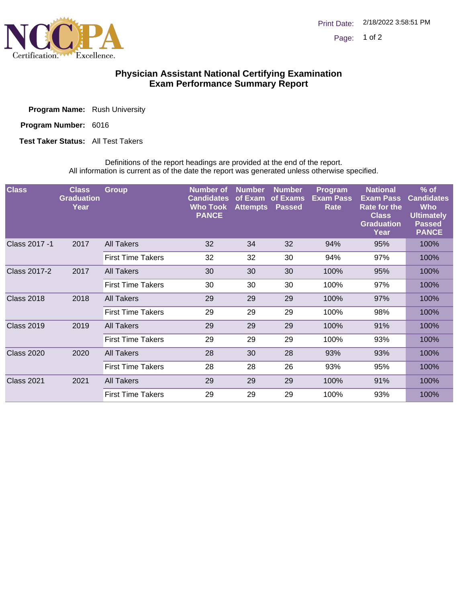

## **Physician Assistant National Certifying Examination Exam Performance Summary Report**

| <b>Program Name:</b> Rush University |  |  |
|--------------------------------------|--|--|
|--------------------------------------|--|--|

Program Number: 6016

**Test Taker Status:** All Test Takers

Definitions of the report headings are provided at the end of the report. All information is current as of the date the report was generated unless otherwise specified.

| <b>Class</b>        | <b>Class</b><br><b>Graduation</b><br>Year | <b>Group</b>             | <b>Number of</b><br><b>Candidates</b><br><b>Who Took</b><br><b>PANCE</b> | <b>Number</b><br>of Exam<br><b>Attempts</b> | <b>Number</b><br>of Exams<br><b>Passed</b> | Program<br><b>Exam Pass</b><br>Rate | <b>National</b><br><b>Exam Pass</b><br><b>Rate for the</b><br><b>Class</b><br><b>Graduation</b><br>Year | $%$ of<br><b>Candidates</b><br><b>Who</b><br><b>Ultimately</b><br><b>Passed</b><br><b>PANCE</b> |
|---------------------|-------------------------------------------|--------------------------|--------------------------------------------------------------------------|---------------------------------------------|--------------------------------------------|-------------------------------------|---------------------------------------------------------------------------------------------------------|-------------------------------------------------------------------------------------------------|
| Class 2017 -1       | 2017                                      | All Takers               | 32                                                                       | 34                                          | 32                                         | 94%                                 | 95%                                                                                                     | 100%                                                                                            |
|                     |                                           | <b>First Time Takers</b> | 32                                                                       | 32                                          | 30                                         | 94%                                 | 97%                                                                                                     | 100%                                                                                            |
| <b>Class 2017-2</b> | 2017                                      | All Takers               | 30                                                                       | 30                                          | 30                                         | 100%                                | 95%                                                                                                     | 100%                                                                                            |
|                     |                                           | <b>First Time Takers</b> | 30                                                                       | 30                                          | 30                                         | 100%                                | 97%                                                                                                     | 100%                                                                                            |
| <b>Class 2018</b>   | 2018                                      | All Takers               | 29                                                                       | 29                                          | 29                                         | 100%                                | 97%                                                                                                     | 100%                                                                                            |
|                     |                                           | <b>First Time Takers</b> | 29                                                                       | 29                                          | 29                                         | 100%                                | 98%                                                                                                     | 100%                                                                                            |
| <b>Class 2019</b>   | 2019                                      | All Takers               | 29                                                                       | 29                                          | 29                                         | 100%                                | 91%                                                                                                     | 100%                                                                                            |
|                     |                                           | <b>First Time Takers</b> | 29                                                                       | 29                                          | 29                                         | 100%                                | 93%                                                                                                     | 100%                                                                                            |
| <b>Class 2020</b>   | 2020                                      | All Takers               | 28                                                                       | 30                                          | 28                                         | 93%                                 | 93%                                                                                                     | 100%                                                                                            |
|                     |                                           | <b>First Time Takers</b> | 28                                                                       | 28                                          | 26                                         | 93%                                 | 95%                                                                                                     | 100%                                                                                            |
| <b>Class 2021</b>   | 2021                                      | <b>All Takers</b>        | 29                                                                       | 29                                          | 29                                         | 100%                                | 91%                                                                                                     | 100%                                                                                            |
|                     |                                           | <b>First Time Takers</b> | 29                                                                       | 29                                          | 29                                         | 100%                                | 93%                                                                                                     | 100%                                                                                            |